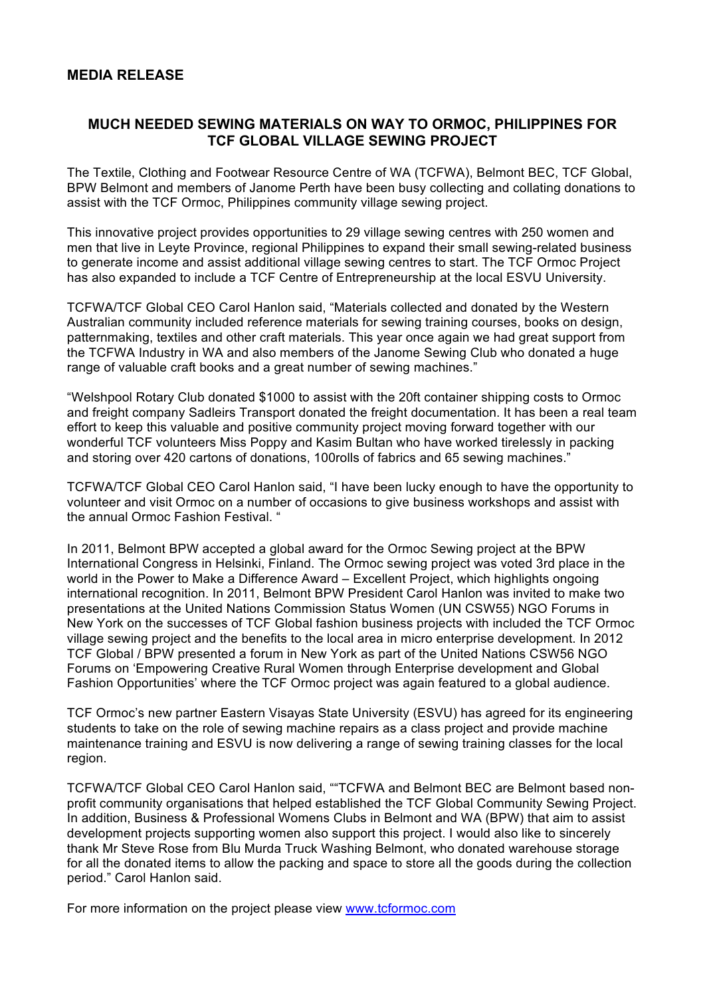## **MEDIA RELEASE**

## **MUCH NEEDED SEWING MATERIALS ON WAY TO ORMOC, PHILIPPINES FOR TCF GLOBAL VILLAGE SEWING PROJECT**

The Textile, Clothing and Footwear Resource Centre of WA (TCFWA), Belmont BEC, TCF Global, BPW Belmont and members of Janome Perth have been busy collecting and collating donations to assist with the TCF Ormoc, Philippines community village sewing project.

This innovative project provides opportunities to 29 village sewing centres with 250 women and men that live in Leyte Province, regional Philippines to expand their small sewing-related business to generate income and assist additional village sewing centres to start. The TCF Ormoc Project has also expanded to include a TCF Centre of Entrepreneurship at the local ESVU University.

TCFWA/TCF Global CEO Carol Hanlon said, "Materials collected and donated by the Western Australian community included reference materials for sewing training courses, books on design, patternmaking, textiles and other craft materials. This year once again we had great support from the TCFWA Industry in WA and also members of the Janome Sewing Club who donated a huge range of valuable craft books and a great number of sewing machines."

"Welshpool Rotary Club donated \$1000 to assist with the 20ft container shipping costs to Ormoc and freight company Sadleirs Transport donated the freight documentation. It has been a real team effort to keep this valuable and positive community project moving forward together with our wonderful TCF volunteers Miss Poppy and Kasim Bultan who have worked tirelessly in packing and storing over 420 cartons of donations, 100rolls of fabrics and 65 sewing machines."

TCFWA/TCF Global CEO Carol Hanlon said, "I have been lucky enough to have the opportunity to volunteer and visit Ormoc on a number of occasions to give business workshops and assist with the annual Ormoc Fashion Festival. "

In 2011, Belmont BPW accepted a global award for the Ormoc Sewing project at the BPW International Congress in Helsinki, Finland. The Ormoc sewing project was voted 3rd place in the world in the Power to Make a Difference Award – Excellent Project, which highlights ongoing international recognition. In 2011, Belmont BPW President Carol Hanlon was invited to make two presentations at the United Nations Commission Status Women (UN CSW55) NGO Forums in New York on the successes of TCF Global fashion business projects with included the TCF Ormoc village sewing project and the benefits to the local area in micro enterprise development. In 2012 TCF Global / BPW presented a forum in New York as part of the United Nations CSW56 NGO Forums on 'Empowering Creative Rural Women through Enterprise development and Global Fashion Opportunities' where the TCF Ormoc project was again featured to a global audience.

TCF Ormoc's new partner Eastern Visayas State University (ESVU) has agreed for its engineering students to take on the role of sewing machine repairs as a class project and provide machine maintenance training and ESVU is now delivering a range of sewing training classes for the local region.

TCFWA/TCF Global CEO Carol Hanlon said, ""TCFWA and Belmont BEC are Belmont based nonprofit community organisations that helped established the TCF Global Community Sewing Project. In addition, Business & Professional Womens Clubs in Belmont and WA (BPW) that aim to assist development projects supporting women also support this project. I would also like to sincerely thank Mr Steve Rose from Blu Murda Truck Washing Belmont, who donated warehouse storage for all the donated items to allow the packing and space to store all the goods during the collection period." Carol Hanlon said.

For more information on the project please view www.tcformoc.com